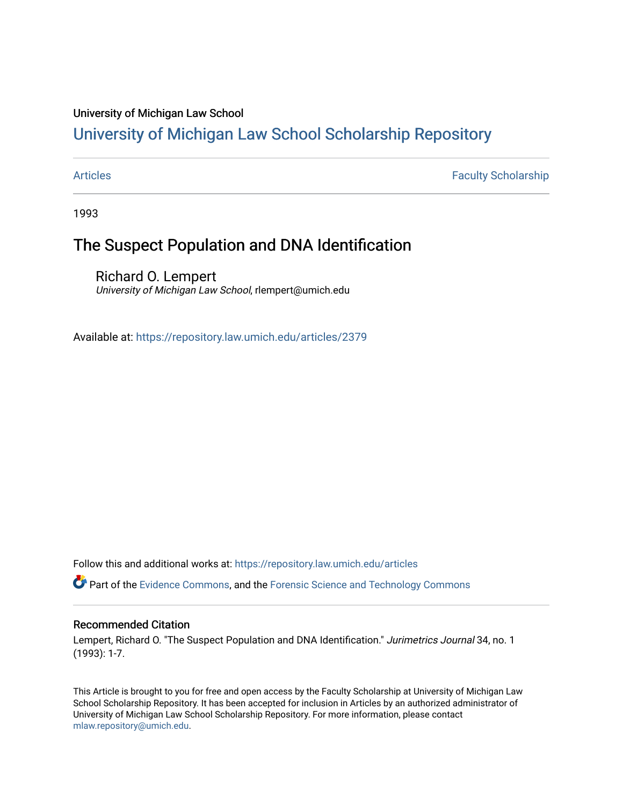### University of Michigan Law School

# [University of Michigan Law School Scholarship Repository](https://repository.law.umich.edu/)

[Articles](https://repository.law.umich.edu/articles) **Faculty Scholarship** Faculty Scholarship

1993

## The Suspect Population and DNA Identification

Richard O. Lempert University of Michigan Law School, rlempert@umich.edu

Available at: <https://repository.law.umich.edu/articles/2379>

Follow this and additional works at: [https://repository.law.umich.edu/articles](https://repository.law.umich.edu/articles?utm_source=repository.law.umich.edu%2Farticles%2F2379&utm_medium=PDF&utm_campaign=PDFCoverPages) 

Part of the [Evidence Commons,](http://network.bepress.com/hgg/discipline/601?utm_source=repository.law.umich.edu%2Farticles%2F2379&utm_medium=PDF&utm_campaign=PDFCoverPages) and the [Forensic Science and Technology Commons](http://network.bepress.com/hgg/discipline/1277?utm_source=repository.law.umich.edu%2Farticles%2F2379&utm_medium=PDF&utm_campaign=PDFCoverPages) 

### Recommended Citation

Lempert, Richard O. "The Suspect Population and DNA Identification." Jurimetrics Journal 34, no. 1 (1993): 1-7.

This Article is brought to you for free and open access by the Faculty Scholarship at University of Michigan Law School Scholarship Repository. It has been accepted for inclusion in Articles by an authorized administrator of University of Michigan Law School Scholarship Repository. For more information, please contact [mlaw.repository@umich.edu.](mailto:mlaw.repository@umich.edu)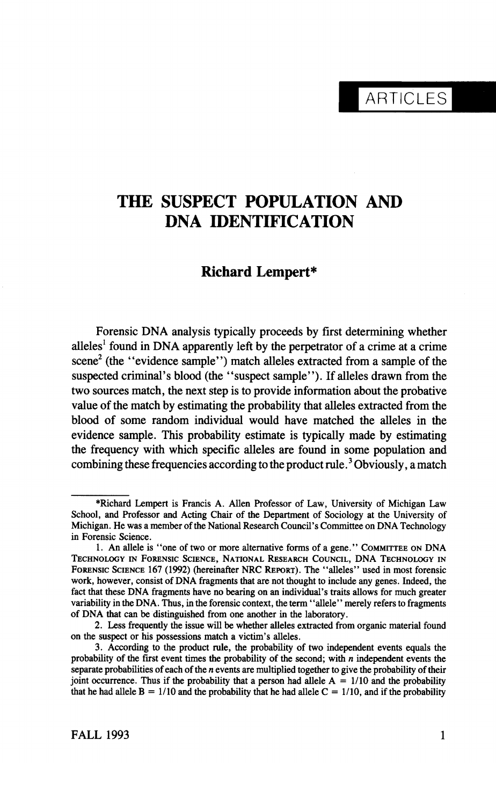**ARTICLES** 

# THE SUSPECT POPULATION AND DNA IDENTIFICATION

### Richard Lempert\*

Forensic DNA analysis typically proceeds by first determining whether alleles<sup>1</sup> found in DNA apparently left by the perpetrator of a crime at a crime scene<sup>2</sup> (the "evidence sample") match alleles extracted from a sample of the scene (the "evidence sample") match alleles extracted from a sample of the suspected criminal's blood (the "suspect sample"). If alleles drawn from the two sources match, the next step is to provide information about the probative value of the match by estimating the probability that alleles extracted from the value of the match by estimating the probability that alleles extracted from the blood of some random individual would have matched the alleles in the evidence sample. This probability estimate is typically made by estimating the frequency with which specific alleles are found in some population and the frequency with which specific alleles are found in some population and combining these frequencies according to the product rule. Soviously, a match

<sup>\*</sup>Richard Lempert is Francis A. Allen Professor of Law, University of Michigan Law<br>School, and Professor and Acting Chair of the Department of Sociology at the University of School, and Professor and Acting Chair of the Department of Sociology at the University of Michigan. He was a member of the National Research Council's Committee on DNA Technology in Forensic Science.

<sup>1.</sup> An allele is "one of two or more alternative forms of a gene." Committee on DNA Technology in Forensic Science, National Research Council, DNA Technology in FORENSIC SCIENCE 167 (1992) (hereinafter NRC REPORT). The "alleles" used in most forensic work, however, consist of DNA fragments that are not thought to include any genes. Indeed, the fact that these DNA fragments have no bearing on an individual's traits allows for much greater fact that these DNA fragments have no bearing on an individual's traits allows for much greater variability in the DNA. Thus, in the forensic context, the term \* allele \* 'merely refers to fragments of DNA that can be distinguished from one another in the laboratory.<br>2. Less frequently the issue will be whether alleles extracted from organic material found

on the suspect or his possessions match a victim's alleles. on the suspect or his possessions match a victim's alleles.

 <sup>3.</sup> According to the product rule, the probability of two independent events equals the probability of the first event times the probability of the second; with  $n$  independent events the separate probabilities of each of the  $n$  events are multiplied together to give the probability of their joint occurrence. Thus if the probability that a person had allele  $A = 1/10$  and the probability joint occurrence. Thus if the probability that a person had allele  $A = 1/10$  and the probability. that he had allele  $B = 1/10$  and the probability that he had allele  $C = 1/10$ , and if the probability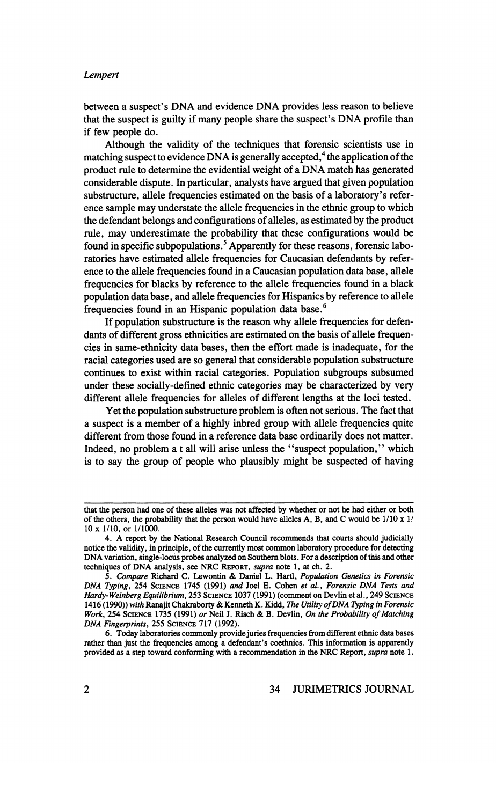#### Lempert

between a suspect's DNA and evidence DNA provides less reason to believe that the suspect is guilty if many people share the suspect's DNA profile if few people do.<br>Although the validity of the techniques that forensic scientists use in

matching suspect to evidence DNA is generally accepted,<sup>4</sup> the application of the product rule to determine the evidential weight of a DNA match has generated considerable dispute. In particular, analysts have argued that given population considerable dispute. In particular, analysts have argued that given population substructure, allele frequencies estimated on the basis of a laboratory's ence sample may understate the allele frequencies in the ethnic group to which the defendant belongs and configurations of alleles, as estimated by the product rule, may underestimate the probability that these configurations would be found in specific subpopulations.<sup>5</sup> Apparently for these reasons, forensic laboratories have estimated allele frequencies for Caucasian defendants by reference to the allele frequencies found in a Caucasian population data base, allele frequencies for blacks by reference to the allele frequencies found in a black frequencies for blacks by reference to the allele frequencies found in a black population data base, and allele frequencies for Hispanics by reference to allele frequencies found in an Hispanic population data base.<sup>6</sup><br>If population substructure is the reason why allele frequencies for defen-

dants of different gross ethnicities are estimated on the basis of allele frequencies in same-ethnicity data bases, then the effort made is inadequate, for the racial categories used are so general that considerable population substructure continues to exist within racial categories. Population subgroups subsumed under these socially-defined ethnic categories may be characterized by very under these socially-defined ethnic categories may be characterized by different allele frequencies for alleles of different lengths at the loci tested.

Yet the population substructure problem is often not serious. The fact that a suspect is a member of a highly inbred group with allele frequencies quite a suspect is a member of a highly inbred group with allele frequencies quite different from those found in a reference data base ordinarily does not matter. Indeed, no problem a t all will arise unless the "suspect population," whi is to say the group of people who plausibly might be suspected of having

that the person had one of these alleles was not affected by whether or not he had either or both of the others, the person would have alleles  $\frac{1}{10}$ ,  $\frac{1}{10}$  x  $\frac{1}{10}$  x  $\frac{1}{10}$  x  $\frac{1}{10}$ 10 x 1/10, or 1/1000.<br>4. A report by the National Research Council recommends that courts should judicially

notice the validity, in principle, of the currently most common laboratory procedure for detecting notice the validity, in principle, of the currently most common laboratory procedure for detecting DNA variation, single-locus probes analyzed on Southern blots. For a description of this and other techniques of DNA analysis, see NRC REPORT, *supra* note 1, at ch. 2.<br>5. Compare Richard C. Lewontin & Daniel L. Hartl, *Population Genetics in Forensic* 

 <sup>5.</sup> Compare Richard C Lewontin & Daniel L. Hard, Population Genetics in Forensic DNA Typing, 254 Science 1745 (1991) and Joel E. Cohen et al., Forensic DNA Tests and  $S_{\text{max}}$ Hardy-Weinberg Equilibrium, 253 SCIENCE 1037 (1991) (comment on Devlin et al., 249 SCIENCE<br>1416 (1990)) with Ranajit Chakraborty & Kenneth K. Kidd, *The Utility of DNA Typing in Forensic*  $1416 / (1990)$  with Ranajit Chakraborty  $\omega$  Ranal  $\omega$  Ranal  $\omega$  David  $\omega$  David  $\omega$  David  $\omega$  DNA  $\omega$   $\omega$ WORK, 254 SCIENCE 1735 (1991) or New York & B. Devilli, On the Probability of Matt

DNA Fingerprints, 255 SCIENCE 717 (1992).<br>6. Today laboratories commonly provide juries frequencies from different ethnic data bases 6. Today laboratories commonly provide juries frequencies from different ethnic data bases rather than just the frequencies among a defendant's coethnics. This information is appar provided as a step toward conforming with a recommendation in the NRC Report, supra note 1.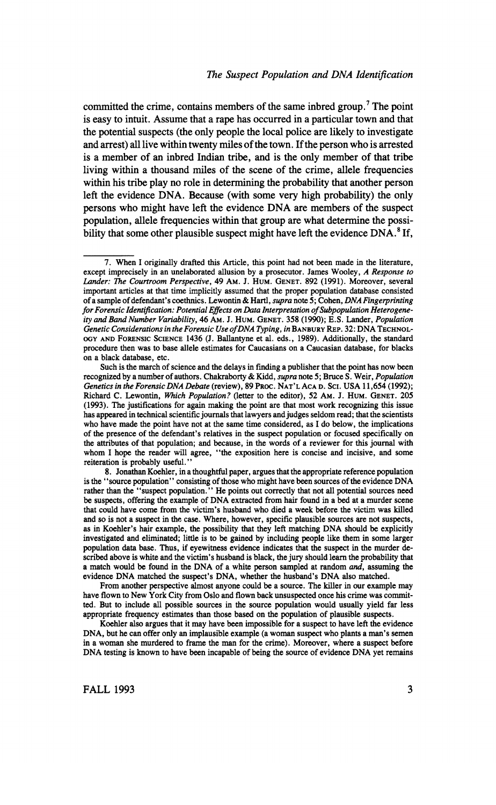committed the crime, contains members of the same inbred group.<sup>7</sup> The point is easy to intuit. Assume that a rape has occurred in a particular town and that the potential suspects (the only people the local police are likely to investigate and arrest) all live within twenty miles of the town. If the person who is arrested is a member of an inbred Indian tribe, and is the only member of that tribe living within a thousand miles of the scene of the crime, allele frequencies within his tribe play no role in determining the probability that another person left the evidence DNA. Because (with some very high probability) the only persons who might have left the evidence DNA are members of the suspect persons who might have left the evidence DNA are members of the suspect population, allele frequencies within that group are what determine the possi? bility that some other plausible suspect might have left the evidence  $DNA$ <sup>8</sup> If,

is the "source population" consisting of those who might have been sources of the evidence DNA rather than the "suspect population." He points out correctly that not all potential sources need be suspects, offering the example of DNA extracted from hair found in a bed at a murder scene be suspects, offering the example of DNA extracted from hair found in a bed at a murder scene that could have come from the victim's husband who died a week before the victim was killed and so is not a suspect in the case. Where, however, specific plausible sources are not suspects, as in Koehler's hair example, the possibility that they left matching DNA should be explicitly investigated and eliminated; little is to be gained by including people like them in some larger population data base. Thus, if eyewitness evidence indicates that the suspect in the murder described above is white and the victim's husband is black, the jury should learn the probability that scribed above is white and the victim's husband is black, the jury should learn the probability that a material behold be found in the DNA of a white person samples at random and, assuming the evidence DNA matched the suspect's DNA, whether the husband's DNA also matched.<br>From another perspective almost anyone could be a source. The killer in our example may

 From another perspective almost anyone could be a source. The killer in our example may have flown to New York City from Oslo and flown back unsuspected once his crime was committed. But to include all possible sources in the source population would usually yield far less appropriate frequency estimates than those based on the population of plausible suspects.

Koehler also argues that it may have been impossible for a suspect to have left the evidence DNA, but he can offer only an implausible example (a woman suspect who plants a man's semen DNA, but he can offer only an implausible example (a woman suspect who plants a man's semen in a woman she murdered to frame the man for the crime). Moreover, where a suspect before DNA testing is known to have been incapable of being the source of evidence DNA yet remains

<sup>7.</sup> When I originally drafted this Article, this point had not been made in the literature, except imprecisely in an unelaborated allusion by a prosecutor. James Wooley, A Response to Lander: The Courtroom Perspective, 49 AM. J. HUM. GENET. 892 (1991). Moreover, several important articles at that time implicitly assumed that the proper population database consisted of a sample of defendant's coethnics. Lewontin & Hartl, supra note 5; Cohen, DNA Fingerprinting for Forensic Identification: Potential Effects on Data Interpretation of Subpopulation Heterogeneity and Band Number Variability, 46 Am. J. HUM. GENET. 358 (1990); E.S. Lander, Population ity and Band Number Variability, 46 Am. J. Hum. Genet. 358 (1990); E.S. Lander, Population Generic Considerations in the Forensic Use of David Typing, in Banbury Rep. 32: David Bandury Rep. 32: David Bandury ogy and Forensic Science 1436 (J. Ballantyne et al. eds., 1989). Additionally, the standard procedure then was to base allele estimates for Caucasians on a Caucasian database, for blacks on a black database, etc.

recognized by a number of authors. Chakraborty & Kidd, supra note 5; Bruce S. Weir, Population Genetics in the Forensic DNA Debate (review), 89 Proc. NAT'L ACA D. SCI. USA 11,654 (1992); Genetics in the Forensic DNA Debate (review), 89 FROC. NAT'l ACA D. Sei. USA 11,054 (1992); Richard C. Lewonthi, Which Population? Getter to the editor), 52 Am. J. Hum. Genet. 205 (1993). The justifications for again making the point are that most work recognizing this issue has appeared in technical scientific journals that lawyers and judges seldom read; that the scientists who have made the point have not at the same time considered, as I do below, the implications of the presence of the defendant's relatives in the suspect population or focused specifically on the attributes of that population; and because, in the words of a reviewer for this journal with the attributes of that population; and because, in the words of a reviewer for this journal with whom I hope the reader will agree, "the exposition here is concise and incisive, and some reiteration is probably useful."<br>
8. Jonathan Koehler, in a thoughtful paper, argues that the appropriate reference population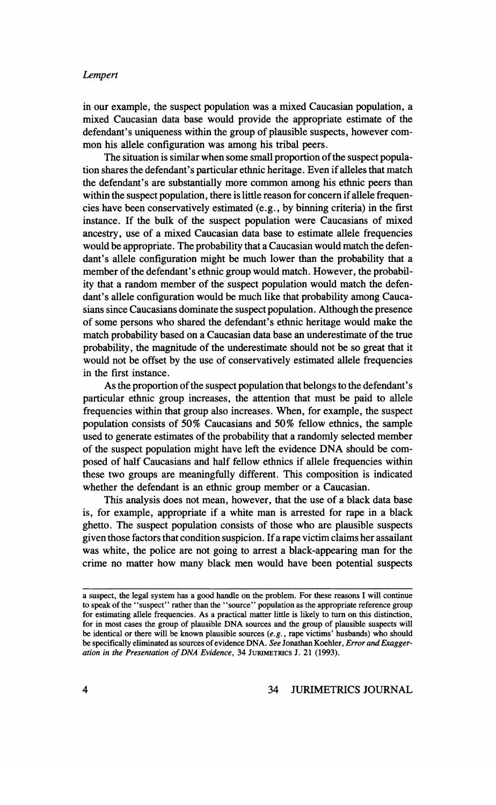### Lempert

 in our example, the suspect population was a mixed Caucasian population, a mixed Caucasian data base would provide the appropriate estimate of the defendant's uniqueness within the group of plausible suspects, however com-<br>mon his allele configuration was among his tribal peers.

The situation is similar when some small proportion of the suspect population shares the defendant's particular ethnic heritage. Even if alleles that match tion shares the defendant's particular ethnic heritage. Even if alleles that match the defendant's are substantially more common among his ethnic peers within the suspect population, there is little reason for concern if allele frequencies have been conservatively estimated  $(e.g., by binning criteria)$  in the first cies have been conservatively estimated (e.g., by binning criteria) in the first  $\frac{1}{2}$  instance. If the bulk of the suspect population were Caucasians of m ancestry, use of a mixed Caucasian data base to estimate allele frequencies would be appropriate. The probability that a Caucasian would match the defen would be appropriate. The probability that a Caucasian would match the defen? dant's allele configuration might be much lower than the probability member of the defendant's ethnic group would match. However, the probability that a random member of the suspect population would match the defen ity that a random member of the suspect population would match the defen? dant's allele configuration would be much like that probability among C sians since Caucasians dominate the suspect population. Although the presence of some persons who shared the defendant's ethnic heritage would make the probability, the magnitude of the underestimate should not be so great that it probability, the magnitude of the underestimate should not be so great that it would not be offset by the use of conservatively estimated allere frequencies in the first instance.

 As the proportion of the suspect population that belongs to the defendant's particular ethnic group increases, the attention that must be paid to allele frequencies within that group also increases. When, for example, the suspect population consists of 50% Caucasians and 50% fellow ethnics, the sample population consists of 50% Caucasians and 50% fellow ethnics, the sample used to generate estimates of the probability that a randomly selected member of the suspect population might have left the evidence DNA should be com posed of half Caucasians and half fellow ethnics if allele frequencies within these two groups are meaningfully different. This composition is indicated whether the defendant is an ethnic group member or a Caucasian.

 This analysis does not mean, however, that the use of a black data base is, for example, appropriate if a white man is arrested for rape in a black ghetto. The suspect population consists of those who are plausible suspects given those factors that condition suspicion. If a rape victim claims her assailant was white, the police are not going to arrest a black-appearing man for the was white, the police are not going to arrest a black appearing man crime no matter how many black men would have been potential suspects

a suspect, the legal system has a good handle on the problem. For these reasons I will continue to speak of the "suspect" rather than the "source" population as the appropriate reference for estimating allele frequencies. As a practical matter little is likely to turn on this distinction, for in most cases the group of plausible DNA sources and the group of plausible suspects will for in most cases the group of plausible DNA sources and the group of plausible suspect be identical or there will be known plausible sources  $(e, g,$ , rape victims' husbands) who s be specifically eliminated as sources of evidence DNA. See Jonathan Koehler, Error and Exaggeration in the Presentation of DNA Evidence, 34 Jurimetrics J. 21 (1993).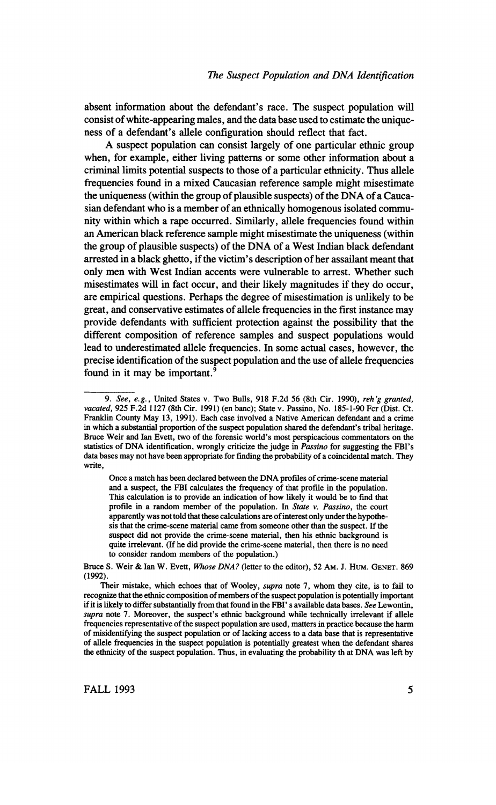absent information about the defendant's race. The suspect population will consist of white-appearing males, and the data base used to estimate the unique consist of white-appearing males, and the data base used to estimate the unique? ness of a defendant's allele configuration should reflect that fact.

A suspect population can consist largely of one particular ethnic group when, for example, either living patterns or some other information about a criminal limits potential suspects to those of a particular ethnicity. Thus allele frequencies found in a mixed Caucasian reference sample might misestimate the uniqueness (within the group of plausible suspects) of the DNA of a Caucasian defendant who is a member of an ethnically homogenous isolated community within which a rape occurred. Similarly, allele frequencies found within an American black reference sample might misestimate the uniqueness (within an American black reference sample might misestimate the uniqueness (within the group of plausible suspects) of the DNA of a West Indian black defendant arrested in a black ghetto, if the victim's description of her assailant meant that only men with West Indian accents were vulnerable to arrest. Whether such misestimates will in fact occur, and their likely magnitudes if they do occur. misestimates will in fact occur, and their likely magnitudes if they do occur, are empirical questions. Perhaps the degree of misestimation is unlikely to be great, and conservative estimates of allele frequencies in the first instance may provide defendants with sufficient protection against the possibility that the different composition of reference samples and suspect populations would lead to underestimated allele frequencies. In some actual cases, however, the lead to underestimated allele frequencies. In some actual cases, however, the precise identification of the suspect population and the use of allele frequencies found in it may be important.<sup>9</sup>

Once a match has been declared between the DNA profiles of crime-scene material and a suspect, the FBI calculates the frequency of that profile in the population. This calculation is to provide an indication of how likely it would be to find that profile in a random member of the population. In State v. Passino, the court apparently was not told that these calculations are of interest only under the hypotheapparent is that the crime-scene material came from someone other than the suspect. If the suspect did not provide the crime-scene material, then his ethnic background is quite irrelevant. (If he did provide the crime-scene material, then there is no need quite irrelevant. (If he did provide the crime-scene material, then there is to consider random members of the population.

Bruce S. Weir & Ian W. Evett, Whose DNA? (letter to the editor), 52 Am. J. HUM. GENET. 869 (1992).

Their mistake, which echoes that of Wooley, *supra* note 7, whom they cite, is to fail to recognize that the ethnic composition of members of the suspect population is potentially important **if it is likely to differ substantially from that found in the FBI's available data bases**. See Le supra note 7. Moreover, the suspect's ethnic background while technically irrelevant if allele frequencies representative of the suspect population are used, matters in practice because the harm of misidentifying the suspect population or of lacking access to a data base that is representative of allele frequencies in the suspect population is potentially greatest when the defendant shares of allele frequencies in the suspect population is potentially greatest when the defendant the exhibits, of the suspect population. Thus, in evaluating the probability that DNA was

<sup>9.</sup> See, e.g., United States v. Two Bulls, 918 F.2d 56 (8th Cir. 1990), reh'g granted, 925 F.2d 1127 (8th Cir. 1991) (en banc): State v. Passino. No. 185-1-90 Fcr (Dist. Ct. vacated,  $925$  F.2d 1127 (8th Cir. 1991) (cn banc); State v. Passino, No. 185-1-90 Fcr (Dist. Ct. Franklin County May 13, 1991). Each case involved a Native American defendant and a crime in which a substantial proportion of the suspect population shared the defendant's tribal heritage.<br>Bruce Weir and Ian Evett, two of the forensic world's most perspicacious commentators on the statistics of DNA identification, wrongly criticize the judge in *Passino* for suggesting the FBI's statistics of DNA including the property criticize the judge in  $P$  is  $\mathcal{L}_{\text{max}}$  in  $\mathcal{L}_{\text{max}}$  data bases may not have been appropriate for finding the probability of a coincidental match. They write,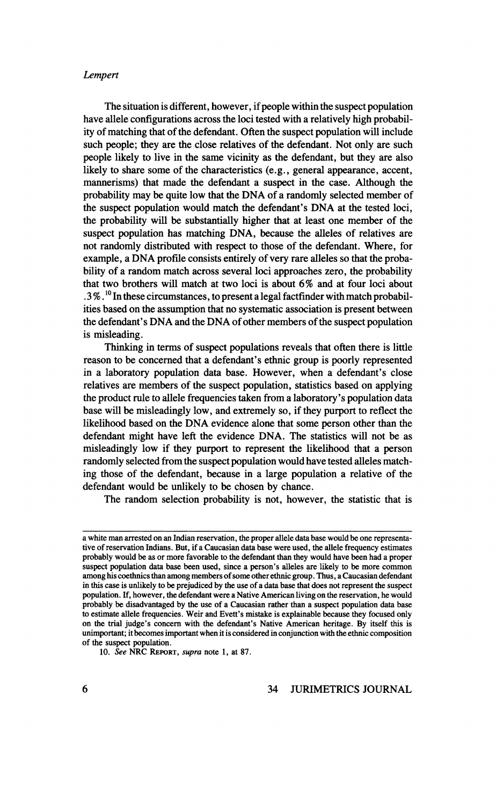### Lempert

The situation is different, however, if people within the suspect population have allele configurations across the loci tested with a relatively high probability of matching that of the defendant. Often the suspect population will include such people; they are the close relatives of the defendant. Not only are such people likely to live in the same vicinity as the defendant, but they are also likely to share some of the characteristics (e.g., general appearance, accent, mannerisms) that made the defendant a suspect in the case. Although the probability may be quite low that the DNA of a randomly selected member of probability may be quite low that the DNA of a randomly selected member of the suspect population would match the defendant's DNA at the test the probability will be substantially higher that at least one member of the suspect population has matching DNA, because the alleles of relatives are not randomly distributed with respect to those of the defendant. Where, for example, a DNA profile consists entirely of very rare alleles so that the probability of a random match across several loci approaches zero, the probability bility of a random match across several loci approaches zero, the probability that two brothers will match at two loci is about  $\sigma$  and at four foc  $.3\%$ .<sup>10</sup> In these circumstances, to present a legal factfinder with match probabilities based on the assumption that no systematic association is present between ities based on the assumption that no systematic association is present between the defendant's DNA and the DNA of other members of the suspect population is misleading.<br>Thinking in terms of suspect populations reveals that often there is little

reason to be concerned that a defendant's ethnic group is poorly represented reason to be concerned that a defendant's ethnic group is poorly represented In a laboratory population data base. However, when a defendant  $s$  relatives are members of the suspect population, statistics based on applying the product rule to allele frequencies taken from a laboratory's population base will be misleadingly low, and extremely so, if they purport to reflect the likelihood based on the DNA evidence alone that some person other than the defendant might have left the evidence DNA. The statistics will not be as misleadingly low if they purport to represent the likelihood that a person randomly selected from the suspect population would have tested alleles match randomly selected from the suspect population would have tested alleles match? ing those of the defendant, because in a large population a relative of the defendant would be unlikely to be chosen by ch

The random selection probability is not, however, the statistic that

a white man arrested on an Indian reservation, the proper allele data base would be one representative of reservation Indians. But, if a Caucasian data base were used, the allele frequency estimates probably would be as or more favorable to the defendant than they would have been had a proper probably would be as or more favorable to the defendant than they would have been had a proper suspect population data base been used, since a person's alleles are likely to be more c among his coethnics than among members of some other ethnic group. Thus, a Caucasian defendant in this case is unlikely to be prejudiced by the use of a data base that does not represent the suspect population. If, however, the defendant were a Native American living on the reservation, he would probably be disadvantaged by the use of a Caucasian rather than a suspect population data base to estimate allele frequencies. Weir and Evett's mistake is explainable because they focused only to estimate allele frequencies. Well and Evett's mistake is explainable because they focuse on the trial judge's concern with the defendant's Native American heritage. By itself unimportant; it becomes important when it is considered in conjunction with the ethnic composition of the suspect population.

<sup>10.</sup> See NRC REPORT, supra note 1, at 87.